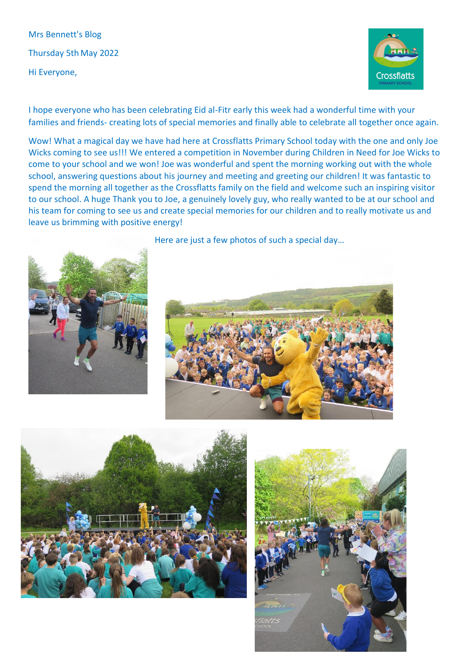Mrs Bennett's Blog Thursday 5th May 2022 Hi Everyone,



I hope everyone who has been celebrating Eid al-Fitr early this week had a wonderful time with your families and friends- creating lots of special memories and finally able to celebrate all together once again.

Wow! What a magical day we have had here at Crossflatts Primary School today with the one and only Joe Wicks coming to see us!!! We entered a competition in November during Children in Need for Joe Wicks to come to your school and we won! Joe was wonderful and spent the morning working out with the whole school, answering questions about his journey and meeting and greeting our children! It was fantastic to spend the morning all together as the Crossflatts family on the field and welcome such an inspiring visitor to our school. A huge Thank you to Joe, a genuinely lovely guy, who really wanted to be at our school and his team for coming to see us and create special memories for our children and to really motivate us and leave us brimming with positive energy!



Here are just a few photos of such a special day…